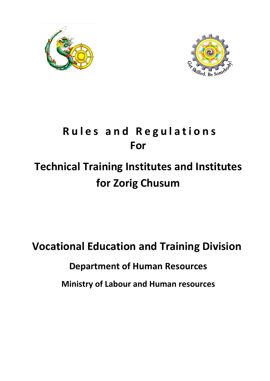



## **R u l e s a n d R e g u l a t i o n s For**

# **Technical Training Institutes and Institutes for Zorig Chusum**

**Vocational Education and Training Division Department of Human Resources Ministry of Labour and Human resources**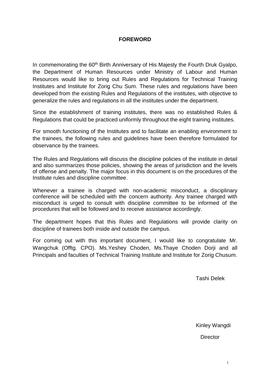#### **FOREWORD**

In commemorating the 60<sup>th</sup> Birth Anniversary of His Majesty the Fourth Druk Gyalpo, the Department of Human Resources under Ministry of Labour and Human Resources would like to bring out Rules and Regulations for Technical Training Institutes and Institute for Zorig Chu Sum. These rules and regulations have been developed from the existing Rules and Regulations of the institutes, with objective to generalize the rules and regulations in all the institutes under the department.

Since the establishment of training institutes, there was no established Rules & Regulations that could be practiced uniformly throughout the eight training institutes.

For smooth functioning of the Institutes and to facilitate an enabling environment to the trainees, the following rules and guidelines have been therefore formulated for observance by the trainees.

The Rules and Regulations will discuss the discipline policies of the institute in detail and also summarizes those policies, showing the areas of jurisdiction and the levels of offense and penalty. The major focus in this document is on the procedures of the Institute rules and discipline committee.

Whenever a trainee is charged with non-academic misconduct, a disciplinary conference will be scheduled with the concern authority. Any trainee charged with misconduct is urged to consult with discipline committee to be informed of the procedures that will be followed and to receive assistance accordingly.

The department hopes that this Rules and Regulations will provide clarity on discipline of trainees both inside and outside the campus.

For coming out with this important document, I would like to congratulate Mr. Wangchuk (Offtg. CPO). Ms.Yeshey Choden, Ms.Thaye Choden Dorji and all Principals and faculties of Technical Training Institute and Institute for Zorig Chusum.

Tashi Delek

Kinley Wangdi

**Director** 

1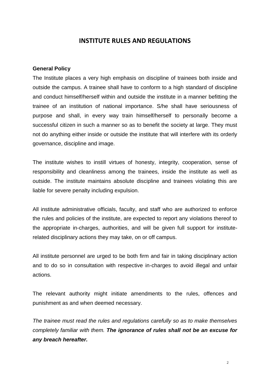#### **INSTITUTE RULES AND REGULATIONS**

#### **General Policy**

The Institute places a very high emphasis on discipline of trainees both inside and outside the campus. A trainee shall have to conform to a high standard of discipline and conduct himself/herself within and outside the institute in a manner befitting the trainee of an institution of national importance. S/he shall have seriousness of purpose and shall, in every way train himself/herself to personally become a successful citizen in such a manner so as to benefit the society at large. They must not do anything either inside or outside the institute that will interfere with its orderly governance, discipline and image.

The institute wishes to instill virtues of honesty, integrity, cooperation, sense of responsibility and cleanliness among the trainees, inside the institute as well as outside. The institute maintains absolute discipline and trainees violating this are liable for severe penalty including expulsion.

All institute administrative officials, faculty, and staff who are authorized to enforce the rules and policies of the institute, are expected to report any violations thereof to the appropriate in-charges, authorities, and will be given full support for instituterelated disciplinary actions they may take, on or off campus.

All institute personnel are urged to be both firm and fair in taking disciplinary action and to do so in consultation with respective in-charges to avoid illegal and unfair actions.

The relevant authority might initiate amendments to the rules, offences and punishment as and when deemed necessary.

*The trainee must read the rules and regulations carefully so as to make themselves completely familiar with them. The ignorance of rules shall not be an excuse for any breach hereafter.*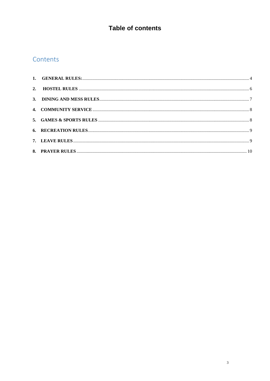## Table of contents

## Contents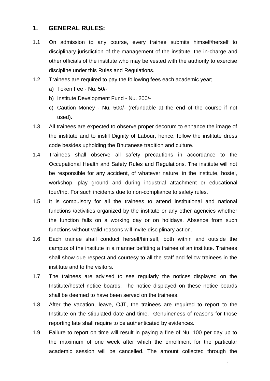#### <span id="page-4-0"></span>**1. GENERAL RULES:**

- 1.1 On admission to any course, every trainee submits himself/herself to disciplinary jurisdiction of the management of the institute, the in-charge and other officials of the institute who may be vested with the authority to exercise discipline under this Rules and Regulations.
- 1.2 Trainees are required to pay the following fees each academic year;
	- a) Token Fee Nu. 50/-
	- b) Institute Development Fund Nu. 200/-
	- c) Caution Money Nu. 500/- (refundable at the end of the course if not used).
- 1.3 All trainees are expected to observe proper decorum to enhance the image of the institute and to instill Dignity of Labour, hence, follow the institute dress code besides upholding the Bhutanese tradition and culture.
- 1.4 Trainees shall observe all safety precautions in accordance to the Occupational Health and Safety Rules and Regulations. The institute will not be responsible for any accident, of whatever nature, in the institute, hostel, workshop, play ground and during industrial attachment or educational tour/trip. For such incidents due to non-compliance to safety rules.
- 1.5 It is compulsory for all the trainees to attend institutional and national functions /activities organized by the institute or any other agencies whether the function falls on a working day or on holidays. Absence from such functions without valid reasons will invite disciplinary action.
- 1.6 Each trainee shall conduct herself/himself, both within and outside the campus of the institute in a manner befitting a trainee of an institute. Trainees shall show due respect and courtesy to all the staff and fellow trainees in the institute and to the visitors.
- 1.7 The trainees are advised to see regularly the notices displayed on the Institute/hostel notice boards. The notice displayed on these notice boards shall be deemed to have been served on the trainees.
- 1.8 After the vacation, leave, OJT, the trainees are required to report to the Institute on the stipulated date and time. Genuineness of reasons for those reporting late shall require to be authenticated by evidences.
- 1.9 Failure to report on time will result in paying a fine of Nu. 100 per day up to the maximum of one week after which the enrollment for the particular academic session will be cancelled. The amount collected through the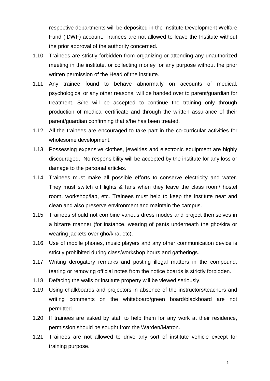respective departments will be deposited in the Institute Development Welfare Fund (IDWF) account. Trainees are not allowed to leave the Institute without the prior approval of the authority concerned.

- 1.10 Trainees are strictly forbidden from organizing or attending any unauthorized meeting in the institute, or collecting money for any purpose without the prior written permission of the Head of the institute.
- 1.11 Any trainee found to behave abnormally on accounts of medical, psychological or any other reasons, will be handed over to parent/guardian for treatment. S/he will be accepted to continue the training only through production of medical certificate and through the written assurance of their parent/guardian confirming that s/he has been treated.
- 1.12 All the trainees are encouraged to take part in the co-curricular activities for wholesome development.
- 1.13 Possessing expensive clothes, jewelries and electronic equipment are highly discouraged. No responsibility will be accepted by the institute for any loss or damage to the personal articles.
- 1.14 Trainees must make all possible efforts to conserve electricity and water. They must switch off lights & fans when they leave the class room/ hostel room, workshop/lab, etc. Trainees must help to keep the institute neat and clean and also preserve environment and maintain the campus.
- 1.15 Trainees should not combine various dress modes and project themselves in a bizarre manner (for instance, wearing of pants underneath the gho/kira or wearing jackets over gho/kira, etc).
- 1.16 Use of mobile phones, music players and any other communication device is strictly prohibited during class/workshop hours and gatherings.
- 1.17 Writing derogatory remarks and posting illegal matters in the compound, tearing or removing official notes from the notice boards is strictly forbidden.
- 1.18 Defacing the walls or institute property will be viewed seriously.
- 1.19 Using chalkboards and projectors in absence of the instructors/teachers and writing comments on the whiteboard/green board/blackboard are not permitted.
- 1.20 If trainees are asked by staff to help them for any work at their residence, permission should be sought from the Warden/Matron.
- 1.21 Trainees are not allowed to drive any sort of institute vehicle except for training purpose.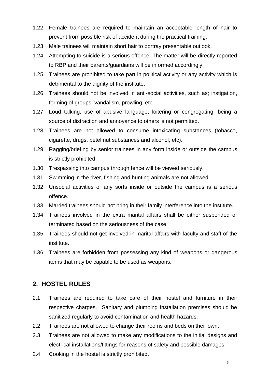- 1.22 Female trainees are required to maintain an acceptable length of hair to prevent from possible risk of accident during the practical training.
- 1.23 Male trainees will maintain short hair to portray presentable outlook.
- 1.24 Attempting to suicide is a serious offence. The matter will be directly reported to RBP and their parents/guardians will be informed accordingly.
- 1.25 Trainees are prohibited to take part in political activity or any activity which is detrimental to the dignity of the institute.
- 1.26 Trainees should not be involved in anti-social activities, such as; instigation, forming of groups, vandalism, prowling, etc.
- 1.27 Loud talking, use of abusive language, loitering or congregating, being a source of distraction and annoyance to others is not permitted.
- 1.28 Trainees are not allowed to consume intoxicating substances (tobacco, cigarette, drugs, betel nut substances and alcohol, etc).
- 1.29 Ragging/briefing by senior trainees in any form inside or outside the campus is strictly prohibited.
- 1.30 Trespassing into campus through fence will be viewed seriously.
- 1.31 Swimming in the river, fishing and hunting animals are not allowed.
- 1.32 Unsocial activities of any sorts inside or outside the campus is a serious offence.
- 1.33 Married trainees should not bring in their family interference into the institute.
- 1.34 Trainees involved in the extra marital affairs shall be either suspended or terminated based on the seriousness of the case.
- 1.35 Trainees should not get involved in marital affairs with faculty and staff of the institute.
- 1.36 Trainees are forbidden from possessing any kind of weapons or dangerous items that may be capable to be used as weapons.

#### <span id="page-6-0"></span>**2. HOSTEL RULES**

- 2.1 Trainees are required to take care of their hostel and furniture in their respective charges. Sanitary and plumbing installation premises should be sanitized regularly to avoid contamination and health hazards.
- 2.2 Trainees are not allowed to change their rooms and beds on their own.
- 2.3 Trainees are not allowed to make any modifications to the initial designs and electrical installations/fittings for reasons of safety and possible damages.
- 2.4 Cooking in the hostel is strictly prohibited.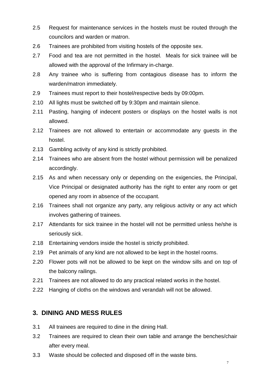- 2.5 Request for maintenance services in the hostels must be routed through the councilors and warden or matron.
- 2.6 Trainees are prohibited from visiting hostels of the opposite sex.
- 2.7 Food and tea are not permitted in the hostel. Meals for sick trainee will be allowed with the approval of the Infirmary in-charge.
- 2.8 Any trainee who is suffering from contagious disease has to inform the warden/matron immediately.
- 2.9 Trainees must report to their hostel/respective beds by 09:00pm.
- 2.10 All lights must be switched off by 9:30pm and maintain silence.
- 2.11 Pasting, hanging of indecent posters or displays on the hostel walls is not allowed.
- 2.12 Trainees are not allowed to entertain or accommodate any guests in the hostel.
- 2.13 Gambling activity of any kind is strictly prohibited.
- 2.14 Trainees who are absent from the hostel without permission will be penalized accordingly.
- 2.15 As and when necessary only or depending on the exigencies, the Principal, Vice Principal or designated authority has the right to enter any room or get opened any room in absence of the occupant.
- 2.16 Trainees shall not organize any party, any religious activity or any act which involves gathering of trainees.
- 2.17 Attendants for sick trainee in the hostel will not be permitted unless he/she is seriously sick.
- 2.18 Entertaining vendors inside the hostel is strictly prohibited.
- 2.19 Pet animals of any kind are not allowed to be kept in the hostel rooms.
- 2.20 Flower pots will not be allowed to be kept on the window sills and on top of the balcony railings.
- 2.21 Trainees are not allowed to do any practical related works in the hostel.
- 2.22 Hanging of cloths on the windows and verandah will not be allowed.

#### <span id="page-7-0"></span>**3. DINING AND MESS RULES**

- 3.1 All trainees are required to dine in the dining Hall.
- 3.2 Trainees are required to clean their own table and arrange the benches/chair after every meal.
- 3.3 Waste should be collected and disposed off in the waste bins.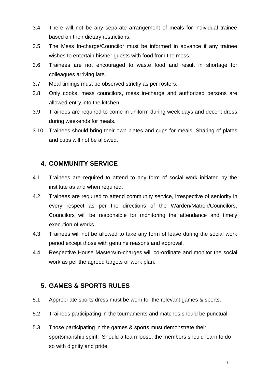- 3.4 There will not be any separate arrangement of meals for individual trainee based on their dietary restrictions.
- 3.5 The Mess In-charge/Councilor must be informed in advance if any trainee wishes to entertain his/her guests with food from the mess.
- 3.6 Trainees are not encouraged to waste food and result in shortage for colleagues arriving late.
- 3.7 Meal timings must be observed strictly as per rosters.
- 3.8 Only cooks, mess councilors, mess in-charge and authorized persons are allowed entry into the kitchen.
- 3.9 Trainees are required to come in uniform during week days and decent dress during weekends for meals.
- 3.10 Trainees should bring their own plates and cups for meals. Sharing of plates and cups will not be allowed.

#### **4. COMMUNITY SERVICE**

- 4.1 Trainees are required to attend to any form of social work initiated by the institute as and when required.
- 4.2 Trainees are required to attend community service, irrespective of seniority in every respect as per the directions of the Warden/Matron/Councilors. Councilors will be responsible for monitoring the attendance and timely execution of works.
- 4.3 Trainees will not be allowed to take any form of leave during the social work period except those with genuine reasons and approval.
- 4.4 Respective House Masters/In-charges will co-ordinate and monitor the social work as per the agreed targets or work plan.

#### <span id="page-8-0"></span>**5. GAMES & SPORTS RULES**

- 5.1 Appropriate sports dress must be worn for the relevant games & sports.
- 5.2 Trainees participating in the tournaments and matches should be punctual.
- 5.3 Those participating in the games & sports must demonstrate their sportsmanship spirit. Should a team loose, the members should learn to do so with dignity and pride.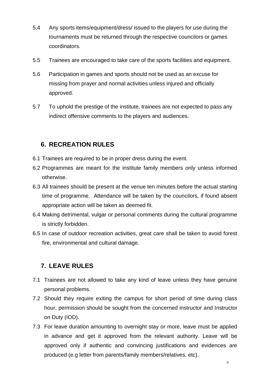- 5.4 Any sports items/equipment/dress/ issued to the players for use during the tournaments must be returned through the respective councilors or games coordinators.
- 5.5 Trainees are encouraged to take care of the sports facilities and equipment.
- 5.6 Participation in games and sports should not be used as an excuse for missing from prayer and normal activities unless injured and officially approved.
- 5.7 To uphold the prestige of the institute, trainees are not expected to pass any indirect offensive comments to the players and audiences.

#### <span id="page-9-0"></span>**6. RECREATION RULES**

- 6.1 Trainees are required to be in proper dress during the event.
- 6.2 Programmes are meant for the institute family members only unless informed otherwise.
- 6.3 All trainees should be present at the venue ten minutes before the actual starting time of programme. Attendance will be taken by the councilors, if found absent appropriate action will be taken as deemed fit.
- 6.4 Making detrimental, vulgar or personal comments during the cultural programme is strictly forbidden.
- 6.5 In case of outdoor recreation activities, great care shall be taken to avoid forest fire, environmental and cultural damage.

#### <span id="page-9-1"></span>**7. LEAVE RULES**

- 7.1 Trainees are not allowed to take any kind of leave unless they have genuine personal problems.
- 7.2 Should they require exiting the campus for short period of time during class hour, permission should be sought from the concerned instructor and Instructor on Duty (IOD).
- 7.3 For leave duration amounting to overnight stay or more, leave must be applied in advance and get it approved from the relevant authority. Leave will be approved only if authentic and convincing justifications and evidences are produced (e.g letter from parents/family members/relatives, etc).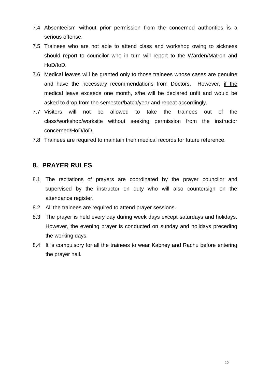- 7.4 Absenteeism without prior permission from the concerned authorities is a serious offense.
- 7.5 Trainees who are not able to attend class and workshop owing to sickness should report to councilor who in turn will report to the Warden/Matron and HoD/IoD.
- 7.6 Medical leaves will be granted only to those trainees whose cases are genuine and have the necessary recommendations from Doctors. However, if the medical leave exceeds one month, s/he will be declared unfit and would be asked to drop from the semester/batch/year and repeat accordingly.
- 7.7 Visitors will not be allowed to take the trainees out of the class/workshop/worksite without seeking permission from the instructor concerned/HoD/IoD.
- 7.8 Trainees are required to maintain their medical records for future reference.

#### <span id="page-10-0"></span>**8. PRAYER RULES**

- 8.1 The recitations of prayers are coordinated by the prayer councilor and supervised by the instructor on duty who will also countersign on the attendance register.
- 8.2 All the trainees are required to attend prayer sessions.
- 8.3 The prayer is held every day during week days except saturdays and holidays. However, the evening prayer is conducted on sunday and holidays preceding the working days.
- 8.4 It is compulsory for all the trainees to wear Kabney and Rachu before entering the prayer hall.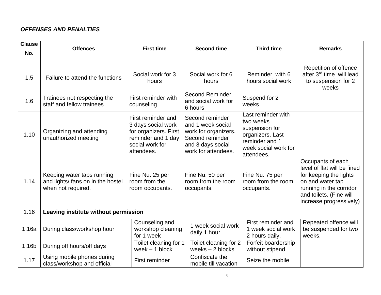#### *OFFENSES AND PENALTIES*

| <b>Clause</b><br>No. | <b>Offences</b>                                                                       | <b>First time</b>                                                                                                        | <b>Second time</b>                                                                                                          | <b>Third time</b>                                                                                                             | <b>Remarks</b>                                                                                                                                                                  |  |
|----------------------|---------------------------------------------------------------------------------------|--------------------------------------------------------------------------------------------------------------------------|-----------------------------------------------------------------------------------------------------------------------------|-------------------------------------------------------------------------------------------------------------------------------|---------------------------------------------------------------------------------------------------------------------------------------------------------------------------------|--|
| 1.5                  | Failure to attend the functions                                                       | Social work for 3<br>hours                                                                                               | Social work for 6<br>hours                                                                                                  | Reminder with 6<br>hours social work                                                                                          | Repetition of offence<br>after 3 <sup>rd</sup> time will lead<br>to suspension for 2<br>weeks                                                                                   |  |
| 1.6                  | Trainees not respecting the<br>staff and fellow trainees                              | First reminder with<br>counseling                                                                                        | <b>Second Reminder</b><br>and social work for<br>6 hours                                                                    | Suspend for 2<br>weeks                                                                                                        |                                                                                                                                                                                 |  |
| 1.10                 | Organizing and attending<br>unauthorized meeting                                      | First reminder and<br>3 days social work<br>for organizers. First<br>reminder and 1 day<br>social work for<br>attendees. | Second reminder<br>and 1 week social<br>work for organizers.<br>Second reminder<br>and 3 days social<br>work for attendees. | Last reminder with<br>two weeks<br>suspension for<br>organizers. Last<br>reminder and 1<br>week social work for<br>attendees. |                                                                                                                                                                                 |  |
| 1.14                 | Keeping water taps running<br>and lights/ fans on in the hostel<br>when not required. | Fine Nu. 25 per<br>room from the<br>room occupants.                                                                      | Fine Nu. 50 per<br>room from the room<br>occupants.                                                                         | Fine Nu. 75 per<br>room from the room<br>occupants.                                                                           | Occupants of each<br>level of flat will be fined<br>for keeping the lights<br>on and water tap<br>running in the corridor<br>and toilets. (Fine will<br>increase progressively) |  |
| 1.16                 | Leaving institute without permission                                                  |                                                                                                                          |                                                                                                                             |                                                                                                                               |                                                                                                                                                                                 |  |
| 1.16a                | During class/workshop hour                                                            | Counseling and<br>workshop cleaning<br>for 1 week                                                                        | 1 week social work<br>daily 1 hour                                                                                          | First reminder and<br>1 week social work<br>2 hours daily.                                                                    | Repeated offence will<br>be suspended for two<br>weeks.                                                                                                                         |  |
| 1.16b                | During off hours/off days                                                             | Toilet cleaning for 1<br>week $-1$ block                                                                                 | Toilet cleaning for 2<br>weeks $-2$ blocks                                                                                  | Forfeit boardership<br>without stipend                                                                                        |                                                                                                                                                                                 |  |
| 1.17                 | Using mobile phones during<br>class/workshop and official                             | First reminder                                                                                                           | Confiscate the<br>mobile till vacation                                                                                      | Seize the mobile                                                                                                              |                                                                                                                                                                                 |  |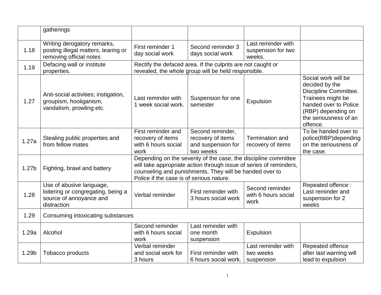|       | gatherings                                                                                               |                                                                                                                                                                                                                                              |                                                                                                                    |                                                    |                                                                                                                                                                         |  |
|-------|----------------------------------------------------------------------------------------------------------|----------------------------------------------------------------------------------------------------------------------------------------------------------------------------------------------------------------------------------------------|--------------------------------------------------------------------------------------------------------------------|----------------------------------------------------|-------------------------------------------------------------------------------------------------------------------------------------------------------------------------|--|
| 1.18  | Writing derogatory remarks,<br>posting illegal matters, tearing or<br>removing official notes            | First reminder 1<br>day social work                                                                                                                                                                                                          | Second reminder 3<br>days social work                                                                              | Last reminder with<br>suspension for two<br>weeks. |                                                                                                                                                                         |  |
| 1.19  | Defacing wall or institute<br>properties.                                                                |                                                                                                                                                                                                                                              | Rectify the defaced area. If the culprits are not caught or<br>revealed, the whole group will be held responsible. |                                                    |                                                                                                                                                                         |  |
| 1.27  | Anti-social activities; instigation,<br>groupism, hooliganism,<br>vandalism, prowling etc.               | Last reminder with<br>1 week social work.                                                                                                                                                                                                    | Suspension for one<br>semester                                                                                     | Expulsion                                          | Social work will be<br>decided by the<br>Discipline Committee.<br>Trainees might be<br>handed over to Police<br>(RBP) depending on<br>the seriousness of an<br>offence. |  |
| 1.27a | Stealing public properties and<br>from fellow mates                                                      | First reminder and<br>recovery of items<br>with 6 hours social<br>work                                                                                                                                                                       | Second reminder,<br>recovery of items<br>and suspension for<br>two weeks                                           | <b>Termination and</b><br>recovery of items        | To be handed over to<br>police(RBP)depending<br>on the seriousness of<br>the case.                                                                                      |  |
| 1.27b | Fighting, brawl and battery                                                                              | Depending on the severity of the case, the discipline committee<br>will take appropriate action through issue of series of reminders,<br>counseling and punishments. They will be handed over to<br>Police if the case is of serious nature. |                                                                                                                    |                                                    |                                                                                                                                                                         |  |
| 1.28  | Use of abusive language,<br>loitering or congregating, being a<br>source of annoyance and<br>distraction | Verbal reminder                                                                                                                                                                                                                              | First reminder with<br>3 hours social work                                                                         | Second reminder<br>with 6 hours social<br>work     | Repeated offence:<br>Last reminder and<br>suspension for 2<br>weeks                                                                                                     |  |
| 1.29  | Consuming intoxicating substances                                                                        |                                                                                                                                                                                                                                              |                                                                                                                    |                                                    |                                                                                                                                                                         |  |
| 1.29a | Alcohol                                                                                                  | Second reminder<br>with 6 hours social<br>work                                                                                                                                                                                               | Last reminder with<br>one month<br>suspension                                                                      | Expulsion                                          |                                                                                                                                                                         |  |
| 1.29b | Tobacco products                                                                                         | Verbal reminder<br>and social work for<br>3 hours                                                                                                                                                                                            | First reminder with<br>6 hours social work.                                                                        | Last reminder with<br>two weeks<br>suspension      | Repeated offence<br>after last warning will<br>lead to expulsion                                                                                                        |  |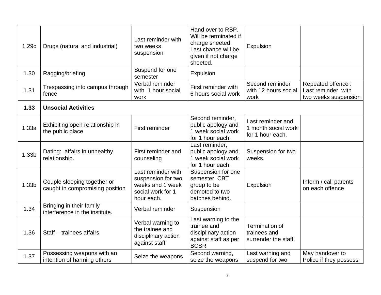| 1.29c             | Drugs (natural and industrial)                                 | Last reminder with<br>two weeks<br>suspension                                                   | Hand over to RBP.<br>Will be terminated if<br>charge sheeted.<br>Last chance will be<br>given if not charge<br>sheeted. | Expulsion                                                    |                                                                 |
|-------------------|----------------------------------------------------------------|-------------------------------------------------------------------------------------------------|-------------------------------------------------------------------------------------------------------------------------|--------------------------------------------------------------|-----------------------------------------------------------------|
| 1.30              | Ragging/briefing                                               | Suspend for one<br>semester                                                                     | Expulsion                                                                                                               |                                                              |                                                                 |
| 1.31              | Trespassing into campus through<br>fence                       | Verbal reminder<br>with 1 hour social<br>work                                                   | First reminder with<br>6 hours social work                                                                              | Second reminder<br>with 12 hours social<br>work              | Repeated offence:<br>Last reminder with<br>two weeks suspension |
| 1.33              | <b>Unsocial Activities</b>                                     |                                                                                                 |                                                                                                                         |                                                              |                                                                 |
| 1.33a             | Exhibiting open relationship in<br>the public place            | First reminder                                                                                  | Second reminder,<br>public apology and<br>1 week social work<br>for 1 hour each.                                        | Last reminder and<br>1 month social work<br>for 1 hour each. |                                                                 |
| 1.33b             | Dating: affairs in unhealthy<br>relationship.                  | First reminder and<br>counseling                                                                | Last reminder,<br>public apology and<br>1 week social work<br>for 1 hour each.                                          | Suspension for two<br>weeks.                                 |                                                                 |
| 1.33 <sub>b</sub> | Couple sleeping together or<br>caught in compromising position | Last reminder with<br>suspension for two<br>weeks and 1 week<br>social work for 1<br>hour each. | Suspension for one<br>semester. CBT<br>group to be<br>demoted to two<br>batches behind.                                 | Expulsion                                                    | Inform / call parents<br>on each offence                        |
| 1.34              | Bringing in their family<br>interference in the institute.     | Verbal reminder                                                                                 | Suspension                                                                                                              |                                                              |                                                                 |
| 1.36              | Staff - trainees affairs                                       | Verbal warning to<br>the trainee and<br>disciplinary action<br>against staff                    | Last warning to the<br>trainee and<br>disciplinary action<br>against staff as per<br><b>BCSR</b>                        | Termination of<br>trainees and<br>surrender the staff.       |                                                                 |
| 1.37              | Possessing weapons with an<br>intention of harming others      | Seize the weapons                                                                               | Second warning,<br>seize the weapons                                                                                    | Last warning and<br>suspend for two                          | May handover to<br>Police if they possess                       |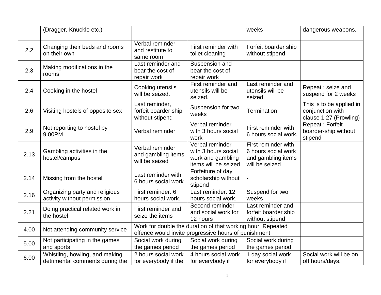|      | (Dragger, Knuckle etc.)                                           |                                                                                                                     |                                                                                     | weeks                                                                              | dangerous weapons.                                                     |
|------|-------------------------------------------------------------------|---------------------------------------------------------------------------------------------------------------------|-------------------------------------------------------------------------------------|------------------------------------------------------------------------------------|------------------------------------------------------------------------|
| 2.2  | Changing their beds and rooms<br>on their own                     | Verbal reminder<br>and restitute to<br>same room                                                                    | First reminder with<br>toilet cleaning                                              | Forfeit boarder ship<br>without stipend                                            |                                                                        |
| 2.3  | Making modifications in the<br>rooms                              | Last reminder and<br>bear the cost of<br>repair work                                                                | Suspension and<br>bear the cost of<br>repair work                                   |                                                                                    |                                                                        |
| 2.4  | Cooking in the hostel                                             | Cooking utensils<br>will be seized.                                                                                 | First reminder and<br>utensils will be<br>seized.                                   | Last reminder and<br>utensils will be<br>seized.                                   | Repeat : seize and<br>suspend for 2 weeks                              |
| 2.6  | Visiting hostels of opposite sex                                  | Last reminder,<br>forfeit boarder ship<br>without stipend                                                           | Suspension for two<br>weeks                                                         | Termination                                                                        | This is to be applied in<br>conjunction with<br>clause 1.27 (Prowling) |
| 2.9  | Not reporting to hostel by<br>9.00PM                              | Verbal reminder                                                                                                     | Verbal reminder<br>with 3 hours social<br>work                                      | First reminder with<br>6 hours social work.                                        | Repeat: Forfeit<br>boarder-ship without<br>stipend                     |
| 2.13 | Gambling activities in the<br>hostel/campus                       | Verbal reminder<br>and gambling items<br>will be seized                                                             | Verbal reminder<br>with 3 hours social<br>work and gambling<br>items will be seized | First reminder with<br>6 hours social work<br>and gambling items<br>will be seized |                                                                        |
| 2.14 | Missing from the hostel                                           | Last reminder with<br>6 hours social work                                                                           | Forfeiture of day<br>scholarship without<br>stipend                                 |                                                                                    |                                                                        |
| 2.16 | Organizing party and religious<br>activity without permission     | First reminder. 6<br>hours social work.                                                                             | Last reminder. 12<br>hours social work.                                             | Suspend for two<br>weeks                                                           |                                                                        |
| 2.21 | Doing practical related work in<br>the hostel                     | First reminder and<br>seize the items                                                                               | Second reminder<br>and social work for<br>12 hours                                  | Last reminder and<br>forfeit boarder ship<br>without stipend                       |                                                                        |
| 4.00 | Not attending community service                                   | Work for double the duration of that working hour. Repeated<br>offence would invite progressive hours of punishment |                                                                                     |                                                                                    |                                                                        |
| 5.00 | Not participating in the games<br>and sports                      | Social work during<br>the games period                                                                              | Social work during<br>the games period                                              | Social work during<br>the games period                                             |                                                                        |
| 6.00 | Whistling, howling, and making<br>detrimental comments during the | 2 hours social work<br>for everybody if the                                                                         | 4 hours social work<br>for everybody if                                             | 1 day social work<br>for everybody if                                              | Social work will be on<br>off hours/days.                              |